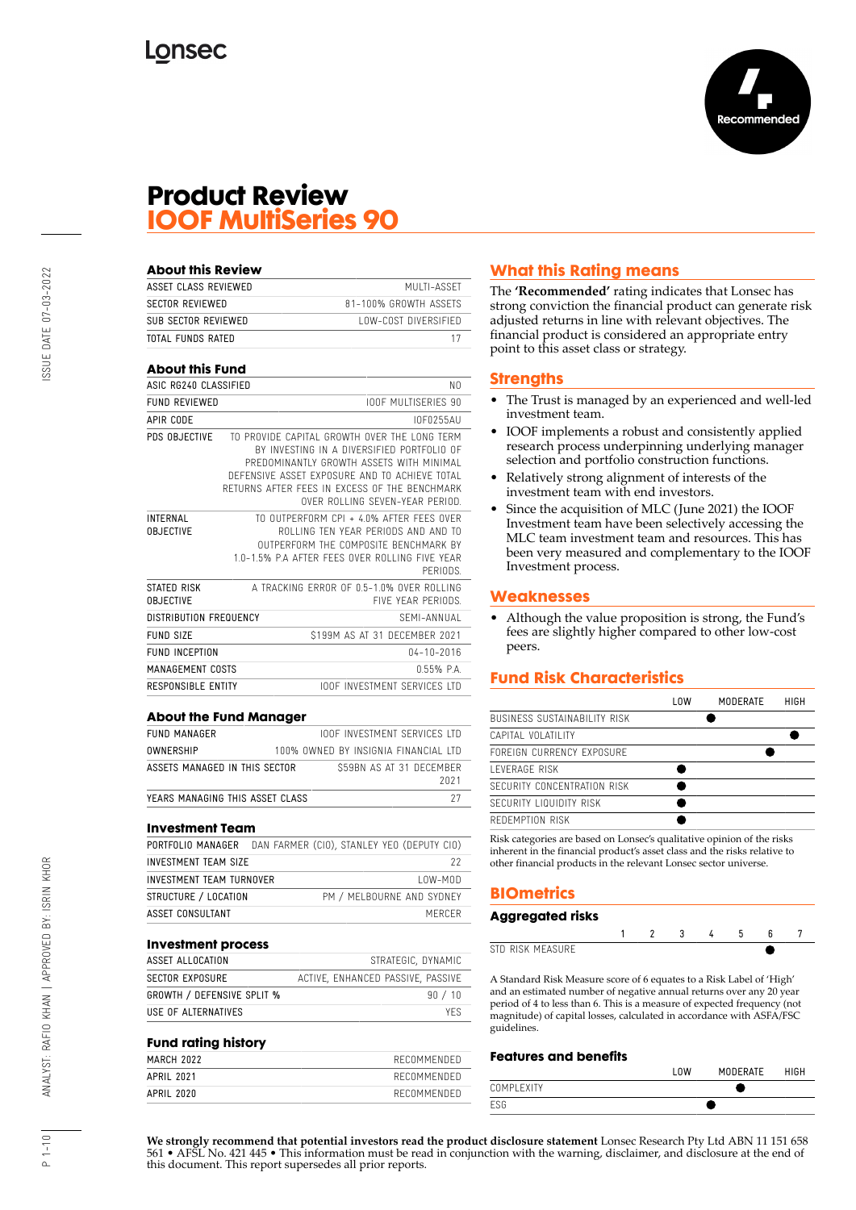

# **Product Review IOOF MultiSeries 90**

| ASSET CLASS REVIEWED                            | MUITI-ASSFT                                                                                                                                                                                                                                                                 |  |  |
|-------------------------------------------------|-----------------------------------------------------------------------------------------------------------------------------------------------------------------------------------------------------------------------------------------------------------------------------|--|--|
|                                                 |                                                                                                                                                                                                                                                                             |  |  |
| <b>SECTOR REVIEWED</b><br>81-100% GROWTH ASSETS |                                                                                                                                                                                                                                                                             |  |  |
| SUB SECTOR REVIEWED<br>LOW-COST DIVERSIFIED     |                                                                                                                                                                                                                                                                             |  |  |
|                                                 | 17                                                                                                                                                                                                                                                                          |  |  |
|                                                 |                                                                                                                                                                                                                                                                             |  |  |
|                                                 | NO.                                                                                                                                                                                                                                                                         |  |  |
|                                                 | <b>IOOF MULTISERIES 90</b>                                                                                                                                                                                                                                                  |  |  |
|                                                 | I0F0255AU                                                                                                                                                                                                                                                                   |  |  |
|                                                 | TO PROVIDE CAPITAL GROWTH OVER THE LONG TERM<br>BY INVESTING IN A DIVERSIFIED PORTFOLIO OF<br>PREDOMINANTLY GROWTH ASSETS WITH MINIMAL<br>DEFENSIVE ASSET EXPOSURE AND TO ACHIEVE TOTAL<br>RETURNS AFTER FFFS IN EXCESS OF THE BENCHMARK<br>OVER ROLLING SEVEN-YEAR PERIOD. |  |  |
|                                                 | TO OUTPERFORM CPI + 4.0% AFTER FFFS OVER<br>ROLLING TEN YEAR PERIODS AND AND TO<br>OUTPERFORM THE COMPOSITE BENCHMARK BY<br>1.0-1.5% P.A AFTER FEES OVER ROLLING FIVE YEAR<br>PFRIODS.                                                                                      |  |  |
|                                                 | A TRACKING FRROR OF 0.5-1.0% OVER ROLLING<br>FIVE YEAR PERIODS.                                                                                                                                                                                                             |  |  |
|                                                 | SFMI-ANNUAI                                                                                                                                                                                                                                                                 |  |  |
|                                                 | \$199M AS AT 31 DECEMBER 2021                                                                                                                                                                                                                                               |  |  |
|                                                 | $04 - 10 - 2016$                                                                                                                                                                                                                                                            |  |  |
|                                                 | 0.55% PA                                                                                                                                                                                                                                                                    |  |  |
| <b>RESPONSIBLE ENTITY</b>                       | <b>IOOF INVESTMENT SERVICES ITD</b>                                                                                                                                                                                                                                         |  |  |
|                                                 | <b>TOTAL FUNDS RATED</b><br><b>About this Fund</b><br>ASIC RG240 CLASSIFIED<br>DISTRIBUTION FREQUENCY<br>MANAGEMENT COSTS                                                                                                                                                   |  |  |

| <b>FUND MANAGER</b>              | <b>IOOF INVESTMENT SERVICES LTD</b>  |
|----------------------------------|--------------------------------------|
| OWNERSHIP                        | 100% OWNED BY INSIGNIA FINANCIAL LTD |
| ASSETS MANAGED IN THIS SECTOR    | \$59BN AS AT 31 DECEMBER<br>2021     |
| YFARS MANAGING THIS ASSFT CLASS. | 27                                   |

#### **Investment Team**

| PORTFOLIO MANAGER        | DAN FARMER (CIO), STANLEY YEO (DEPUTY CIO) |
|--------------------------|--------------------------------------------|
| INVESTMENT TEAM SIZE     | 22                                         |
| INVESTMENT TEAM TURNOVER | $10W-M0D$                                  |
| STRUCTURE / LOCATION     | PM / MELBOURNE AND SYDNEY                  |
| ASSET CONSULTANT         | MERCER                                     |
|                          |                                            |

#### **Investment process**

| ASSET ALLOCATION                  | STRATEGIC, DYNAMIC                |
|-----------------------------------|-----------------------------------|
| <b>SECTOR EXPOSURE</b>            | ACTIVE, ENHANCED PASSIVE, PASSIVE |
| <b>GROWTH / DEFENSIVE SPLIT %</b> | 90 / 10                           |
| USE OF ALTERNATIVES               | <b>YFS</b>                        |

#### **Fund rating history**

| --<br>- - - |             |
|-------------|-------------|
| MARCH 2022  | RECOMMENDED |
| APRIL 2021  | RECOMMENDED |
| APRIL 2020  | RECOMMENDED |
|             |             |

# **What this Rating means**

The **'Recommended'** rating indicates that Lonsec has strong conviction the financial product can generate risk adjusted returns in line with relevant objectives. The financial product is considered an appropriate entry point to this asset class or strategy.

## **Strengths**

- The Trust is managed by an experienced and well-led investment team.
- IOOF implements a robust and consistently applied research process underpinning underlying manager selection and portfolio construction functions.
- Relatively strong alignment of interests of the investment team with end investors.
- Since the acquisition of MLC (June 2021) the IOOF Investment team have been selectively accessing the MLC team investment team and resources. This has been very measured and complementary to the IOOF Investment process.

## **Weaknesses**

• Although the value proposition is strong, the Fund's fees are slightly higher compared to other low-cost peers.

# **Fund Risk Characteristics**

| l OW | MODERATE | HIGH |
|------|----------|------|
|      |          |      |
|      |          |      |
|      |          |      |
|      |          |      |
|      |          |      |
|      |          |      |
|      |          |      |
|      |          |      |

Risk categories are based on Lonsec's qualitative opinion of the risks inherent in the financial product's asset class and the risks relative to other financial products in the relevant Lonsec sector universe.

# **BIOmetrics**

| Aggregated risks |  |  |  |  |
|------------------|--|--|--|--|
|                  |  |  |  |  |
| STD RISK MEASURE |  |  |  |  |

A Standard Risk Measure score of 6 equates to a Risk Label of 'High' and an estimated number of negative annual returns over any 20 year period of 4 to less than 6. This is a measure of expected frequency (not magnitude) of capital losses, calculated in accordance with ASFA/FSC guidelines.

## **Features and benefits**

|            | LOW | MODERATE | HIGH |
|------------|-----|----------|------|
| COMPLEXITY |     |          |      |
| ESG        |     |          |      |

**We strongly recommend that potential investors read the product disclosure statement** Lonsec Research Pty Ltd ABN 11 151 658 561 • AFSL No. 421 445 • This information must be read in conjunction with the warning, disclaimer, and disclosure at the end of this document. This report supersedes all prior reports.

 $1 - 10$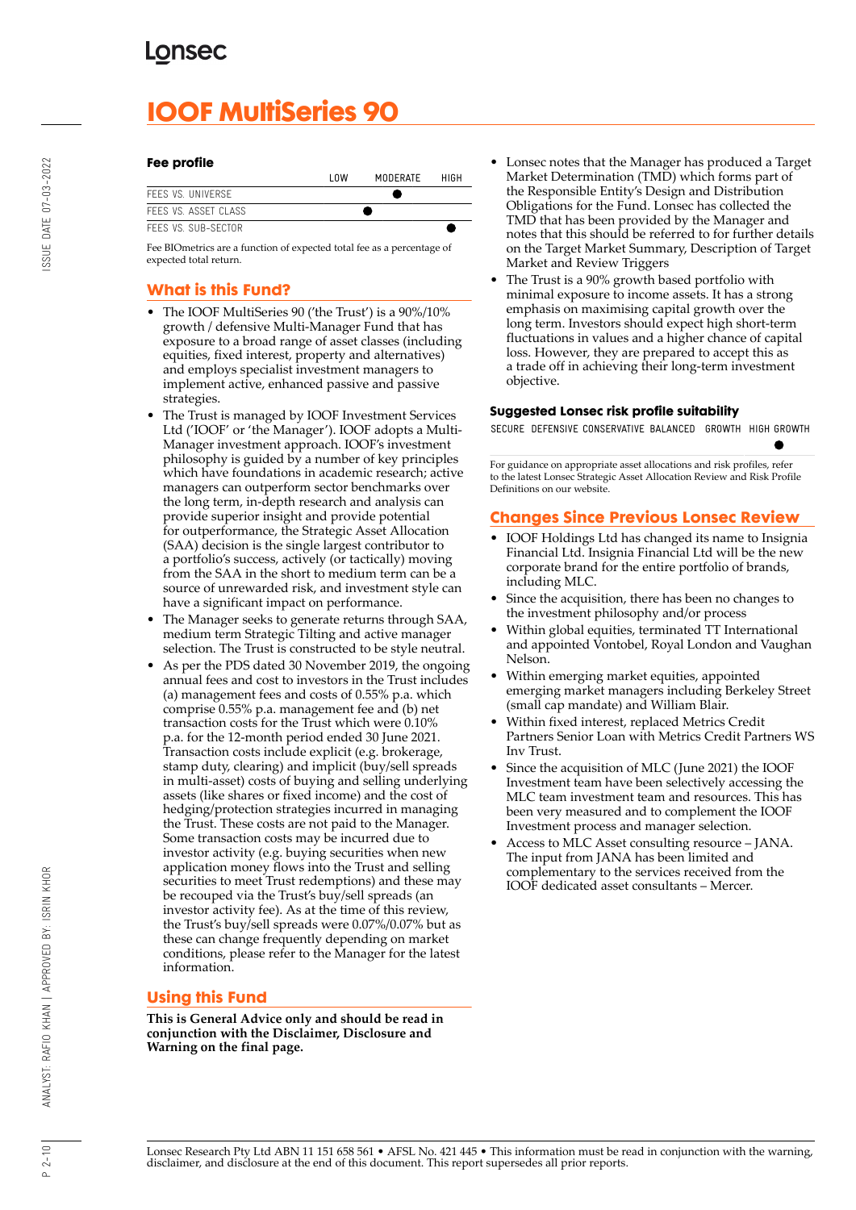# **IOOF MultiSeries 90**

#### **Fee profile**

|                      | l nw | MODERATE | HIGH |
|----------------------|------|----------|------|
| FFFS VS. UNIVERSE    |      |          |      |
| FFFS VS. ASSFT CLASS |      |          |      |
| FFFS VS. SUB-SFCTOR  |      |          |      |

Fee BIOmetrics are a function of expected total fee as a percentage of expected total return.

# **What is this Fund?**

- The IOOF MultiSeries 90 ('the Trust') is a 90%/10% growth / defensive Multi-Manager Fund that has exposure to a broad range of asset classes (including equities, fixed interest, property and alternatives) and employs specialist investment managers to implement active, enhanced passive and passive strategies.
- The Trust is managed by IOOF Investment Services Ltd ('IOOF' or 'the Manager'). IOOF adopts a Multi-Manager investment approach. IOOF's investment philosophy is guided by a number of key principles which have foundations in academic research; active managers can outperform sector benchmarks over the long term, in-depth research and analysis can provide superior insight and provide potential for outperformance, the Strategic Asset Allocation (SAA) decision is the single largest contributor to a portfolio's success, actively (or tactically) moving from the SAA in the short to medium term can be a source of unrewarded risk, and investment style can have a significant impact on performance.
- The Manager seeks to generate returns through SAA, medium term Strategic Tilting and active manager selection. The Trust is constructed to be style neutral.
- As per the PDS dated 30 November 2019, the ongoing annual fees and cost to investors in the Trust includes (a) management fees and costs of 0.55% p.a. which comprise 0.55% p.a. management fee and (b) net transaction costs for the Trust which were 0.10% p.a. for the 12-month period ended 30 June 2021. Transaction costs include explicit (e.g. brokerage, stamp duty, clearing) and implicit (buy/sell spreads in multi-asset) costs of buying and selling underlying assets (like shares or fixed income) and the cost of hedging/protection strategies incurred in managing the Trust. These costs are not paid to the Manager. Some transaction costs may be incurred due to investor activity (e.g. buying securities when new application money flows into the Trust and selling securities to meet Trust redemptions) and these may be recouped via the Trust's buy/sell spreads (an investor activity fee). As at the time of this review, the Trust's buy/sell spreads were 0.07%/0.07% but as these can change frequently depending on market conditions, please refer to the Manager for the latest information.

## **Using this Fund**

**This is General Advice only and should be read in conjunction with the Disclaimer, Disclosure and Warning on the final page.**

- Lonsec notes that the Manager has produced a Target Market Determination (TMD) which forms part of the Responsible Entity's Design and Distribution Obligations for the Fund. Lonsec has collected the TMD that has been provided by the Manager and notes that this should be referred to for further details on the Target Market Summary, Description of Target Market and Review Triggers
- The Trust is a 90% growth based portfolio with minimal exposure to income assets. It has a strong emphasis on maximising capital growth over the long term. Investors should expect high short-term fluctuations in values and a higher chance of capital loss. However, they are prepared to accept this as a trade off in achieving their long-term investment objective.

#### **Suggested Lonsec risk profile suitability**

SECURE DEFENSIVE CONSERVATIVE BALANCED GROWTH HIGH GROWTH

For guidance on appropriate asset allocations and risk profiles, refer to the latest Lonsec Strategic Asset Allocation Review and Risk Profile Definitions on our website.

# **Changes Since Previous Lonsec Review**

- IOOF Holdings Ltd has changed its name to Insignia Financial Ltd. Insignia Financial Ltd will be the new corporate brand for the entire portfolio of brands, including MLC.
- Since the acquisition, there has been no changes to the investment philosophy and/or process
- Within global equities, terminated TT International and appointed Vontobel, Royal London and Vaughan Nelson.
- Within emerging market equities, appointed emerging market managers including Berkeley Street (small cap mandate) and William Blair.
- Within fixed interest, replaced Metrics Credit Partners Senior Loan with Metrics Credit Partners WS Inv Trust.
- Since the acquisition of MLC (June 2021) the IOOF Investment team have been selectively accessing the MLC team investment team and resources. This has been very measured and to complement the IOOF Investment process and manager selection.
- Access to MLC Asset consulting resource JANA. The input from JANA has been limited and complementary to the services received from the IOOF dedicated asset consultants – Mercer.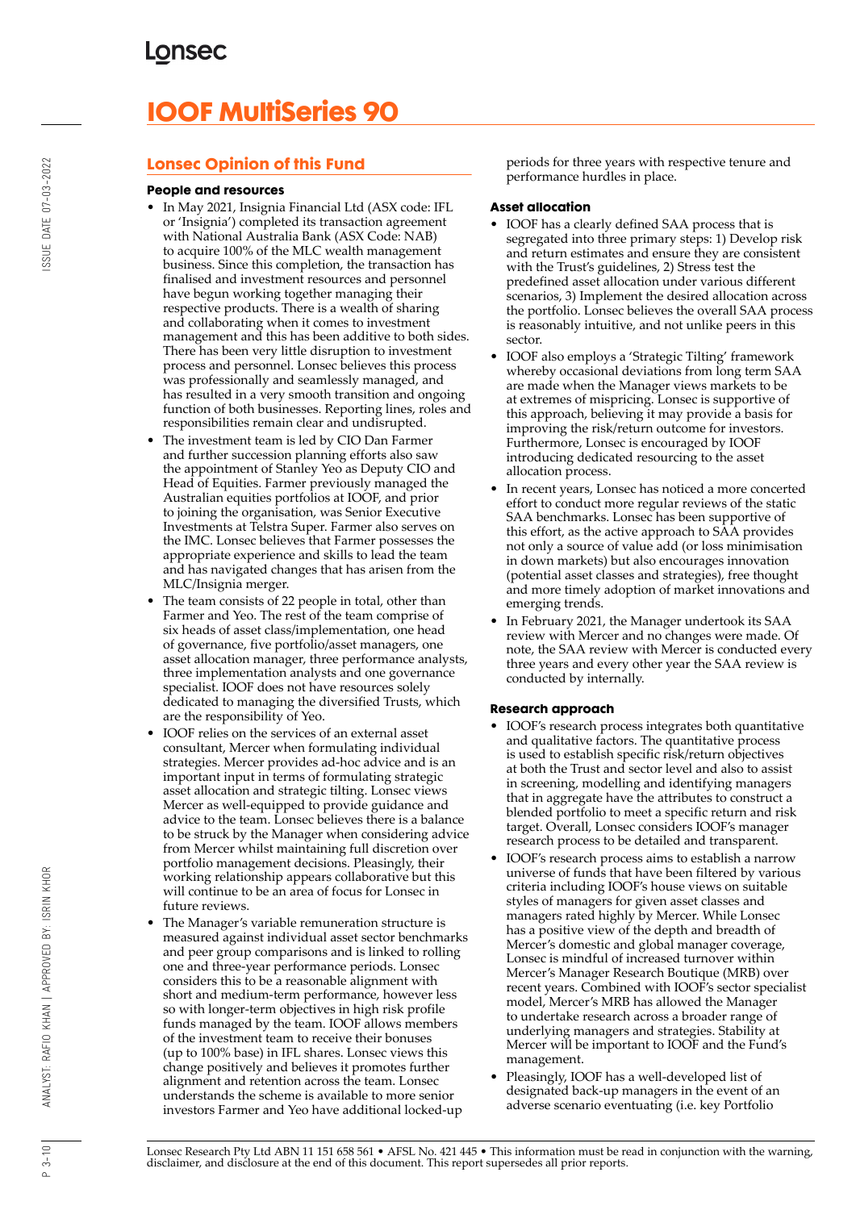# **IOOF MultiSeries 90**

# **Lonsec Opinion of this Fund**

#### **People and resources**

- In May 2021, Insignia Financial Ltd (ASX code: IFL or 'Insignia') completed its transaction agreement with National Australia Bank (ASX Code: NAB) to acquire 100% of the MLC wealth management business. Since this completion, the transaction has finalised and investment resources and personnel have begun working together managing their respective products. There is a wealth of sharing and collaborating when it comes to investment management and this has been additive to both sides. There has been very little disruption to investment process and personnel. Lonsec believes this process was professionally and seamlessly managed, and has resulted in a very smooth transition and ongoing function of both businesses. Reporting lines, roles and responsibilities remain clear and undisrupted.
- The investment team is led by CIO Dan Farmer and further succession planning efforts also saw the appointment of Stanley Yeo as Deputy CIO and Head of Equities. Farmer previously managed the Australian equities portfolios at IOOF, and prior to joining the organisation, was Senior Executive Investments at Telstra Super. Farmer also serves on the IMC. Lonsec believes that Farmer possesses the appropriate experience and skills to lead the team and has navigated changes that has arisen from the MLC/Insignia merger.
- The team consists of 22 people in total, other than Farmer and Yeo. The rest of the team comprise of six heads of asset class/implementation, one head of governance, five portfolio/asset managers, one asset allocation manager, three performance analysts, three implementation analysts and one governance specialist. IOOF does not have resources solely dedicated to managing the diversified Trusts, which are the responsibility of Yeo.
- IOOF relies on the services of an external asset consultant, Mercer when formulating individual strategies. Mercer provides ad-hoc advice and is an important input in terms of formulating strategic asset allocation and strategic tilting. Lonsec views Mercer as well-equipped to provide guidance and advice to the team. Lonsec believes there is a balance to be struck by the Manager when considering advice from Mercer whilst maintaining full discretion over portfolio management decisions. Pleasingly, their working relationship appears collaborative but this will continue to be an area of focus for Lonsec in future reviews.
- The Manager's variable remuneration structure is measured against individual asset sector benchmarks and peer group comparisons and is linked to rolling one and three-year performance periods. Lonsec considers this to be a reasonable alignment with short and medium-term performance, however less so with longer-term objectives in high risk profile funds managed by the team. IOOF allows members of the investment team to receive their bonuses (up to 100% base) in IFL shares. Lonsec views this change positively and believes it promotes further alignment and retention across the team. Lonsec understands the scheme is available to more senior investors Farmer and Yeo have additional locked-up

periods for three years with respective tenure and performance hurdles in place.

#### **Asset allocation**

- IOOF has a clearly defined SAA process that is segregated into three primary steps: 1) Develop risk and return estimates and ensure they are consistent with the Trust's guidelines, 2) Stress test the predefined asset allocation under various different scenarios, 3) Implement the desired allocation across the portfolio. Lonsec believes the overall SAA process is reasonably intuitive, and not unlike peers in this sector.
- IOOF also employs a 'Strategic Tilting' framework whereby occasional deviations from long term SAA are made when the Manager views markets to be at extremes of mispricing. Lonsec is supportive of this approach, believing it may provide a basis for improving the risk/return outcome for investors. Furthermore, Lonsec is encouraged by IOOF introducing dedicated resourcing to the asset allocation process.
- In recent years, Lonsec has noticed a more concerted effort to conduct more regular reviews of the static SAA benchmarks. Lonsec has been supportive of this effort, as the active approach to SAA provides not only a source of value add (or loss minimisation in down markets) but also encourages innovation (potential asset classes and strategies), free thought and more timely adoption of market innovations and emerging trends.
- In February 2021, the Manager undertook its SAA review with Mercer and no changes were made. Of note, the SAA review with Mercer is conducted every three years and every other year the SAA review is conducted by internally.

## **Research approach**

- IOOF's research process integrates both quantitative and qualitative factors. The quantitative process is used to establish specific risk/return objectives at both the Trust and sector level and also to assist in screening, modelling and identifying managers that in aggregate have the attributes to construct a blended portfolio to meet a specific return and risk target. Overall, Lonsec considers IOOF's manager research process to be detailed and transparent.
- IOOF's research process aims to establish a narrow universe of funds that have been filtered by various criteria including IOOF's house views on suitable styles of managers for given asset classes and managers rated highly by Mercer. While Lonsec has a positive view of the depth and breadth of Mercer's domestic and global manager coverage, Lonsec is mindful of increased turnover within Mercer's Manager Research Boutique (MRB) over recent years. Combined with IOOF's sector specialist model, Mercer's MRB has allowed the Manager to undertake research across a broader range of underlying managers and strategies. Stability at Mercer will be important to IOOF and the Fund's management.
- Pleasingly, IOOF has a well-developed list of designated back-up managers in the event of an adverse scenario eventuating (i.e. key Portfolio

 $P_3 - 10$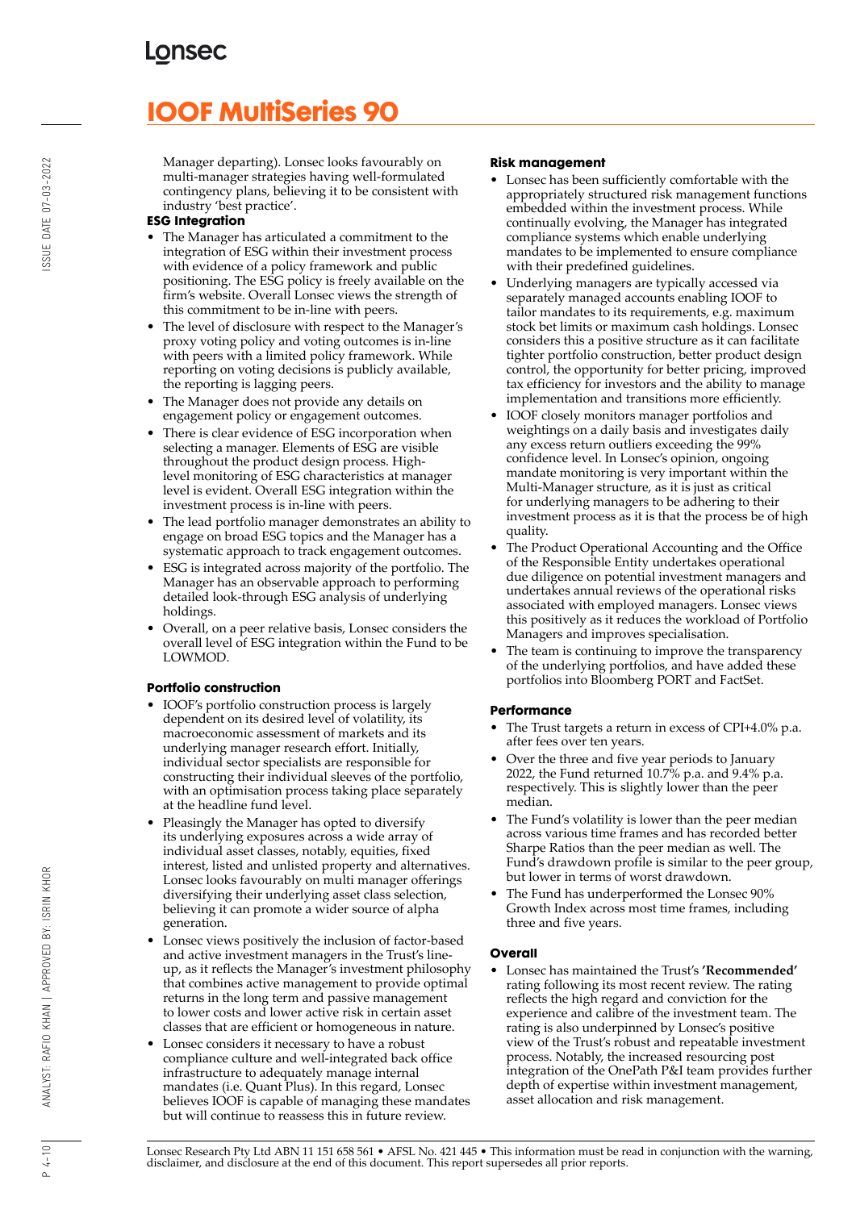# **IOOF MultiSeries 90**

Manager departing). Lonsec looks favourably on multi-manager strategies having well-formulated contingency plans, believing it to be consistent with industry 'best practice'.

## **ESG Integration**

- The Manager has articulated a commitment to the integration of ESG within their investment process with evidence of a policy framework and public positioning. The ESG policy is freely available on the firm's website. Overall Lonsec views the strength of this commitment to be in-line with peers.
- The level of disclosure with respect to the Manager's proxy voting policy and voting outcomes is in-line with peers with a limited policy framework. While reporting on voting decisions is publicly available, the reporting is lagging peers.
- The Manager does not provide any details on engagement policy or engagement outcomes.
- There is clear evidence of ESG incorporation when selecting a manager. Elements of ESG are visible throughout the product design process. Highlevel monitoring of ESG characteristics at manager level is evident. Overall ESG integration within the investment process is in-line with peers.
- The lead portfolio manager demonstrates an ability to engage on broad ESG topics and the Manager has a systematic approach to track engagement outcomes.
- ESG is integrated across majority of the portfolio. The Manager has an observable approach to performing detailed look-through ESG analysis of underlying holdings.
- Overall, on a peer relative basis, Lonsec considers the overall level of ESG integration within the Fund to be LOWMOD.

## **Portfolio construction**

- IOOF's portfolio construction process is largely dependent on its desired level of volatility, its macroeconomic assessment of markets and its underlying manager research effort. Initially, individual sector specialists are responsible for constructing their individual sleeves of the portfolio, with an optimisation process taking place separately at the headline fund level.
- Pleasingly the Manager has opted to diversify its underlying exposures across a wide array of individual asset classes, notably, equities, fixed interest, listed and unlisted property and alternatives. Lonsec looks favourably on multi manager offerings diversifying their underlying asset class selection, believing it can promote a wider source of alpha generation.
- Lonsec views positively the inclusion of factor-based and active investment managers in the Trust's lineup, as it reflects the Manager's investment philosophy that combines active management to provide optimal returns in the long term and passive management to lower costs and lower active risk in certain asset classes that are efficient or homogeneous in nature.
- Lonsec considers it necessary to have a robust compliance culture and well-integrated back office infrastructure to adequately manage internal mandates (i.e. Quant Plus). In this regard, Lonsec believes IOOF is capable of managing these mandates but will continue to reassess this in future review.

#### **Risk management**

- Lonsec has been sufficiently comfortable with the appropriately structured risk management functions embedded within the investment process. While continually evolving, the Manager has integrated compliance systems which enable underlying mandates to be implemented to ensure compliance with their predefined guidelines.
- Underlying managers are typically accessed via separately managed accounts enabling IOOF to tailor mandates to its requirements, e.g. maximum stock bet limits or maximum cash holdings. Lonsec considers this a positive structure as it can facilitate tighter portfolio construction, better product design control, the opportunity for better pricing, improved tax efficiency for investors and the ability to manage implementation and transitions more efficiently.
- IOOF closely monitors manager portfolios and weightings on a daily basis and investigates daily any excess return outliers exceeding the 99% confidence level. In Lonsec's opinion, ongoing mandate monitoring is very important within the Multi-Manager structure, as it is just as critical for underlying managers to be adhering to their investment process as it is that the process be of high quality.
- The Product Operational Accounting and the Office of the Responsible Entity undertakes operational due diligence on potential investment managers and undertakes annual reviews of the operational risks associated with employed managers. Lonsec views this positively as it reduces the workload of Portfolio Managers and improves specialisation.
- The team is continuing to improve the transparency of the underlying portfolios, and have added these portfolios into Bloomberg PORT and FactSet.

## **Performance**

- The Trust targets a return in excess of CPI+4.0% p.a. after fees over ten years.
- Over the three and five year periods to January 2022, the Fund returned 10.7% p.a. and 9.4% p.a. respectively. This is slightly lower than the peer median.
- The Fund's volatility is lower than the peer median across various time frames and has recorded better Sharpe Ratios than the peer median as well. The Fund's drawdown profile is similar to the peer group, but lower in terms of worst drawdown.
- The Fund has underperformed the Lonsec 90% Growth Index across most time frames, including three and five years.

## **Overall**

• Lonsec has maintained the Trust's **'Recommended'** rating following its most recent review. The rating reflects the high regard and conviction for the experience and calibre of the investment team. The rating is also underpinned by Lonsec's positive view of the Trust's robust and repeatable investment process. Notably, the increased resourcing post integration of the OnePath P&I team provides further depth of expertise within investment management, asset allocation and risk management.

Lonsec Research Pty Ltd ABN 11 151 658 561 • AFSL No. 421 445 • This information must be read in conjunction with the warning, disclaimer, and disclosure at the end of this document. This report supersedes all prior reports.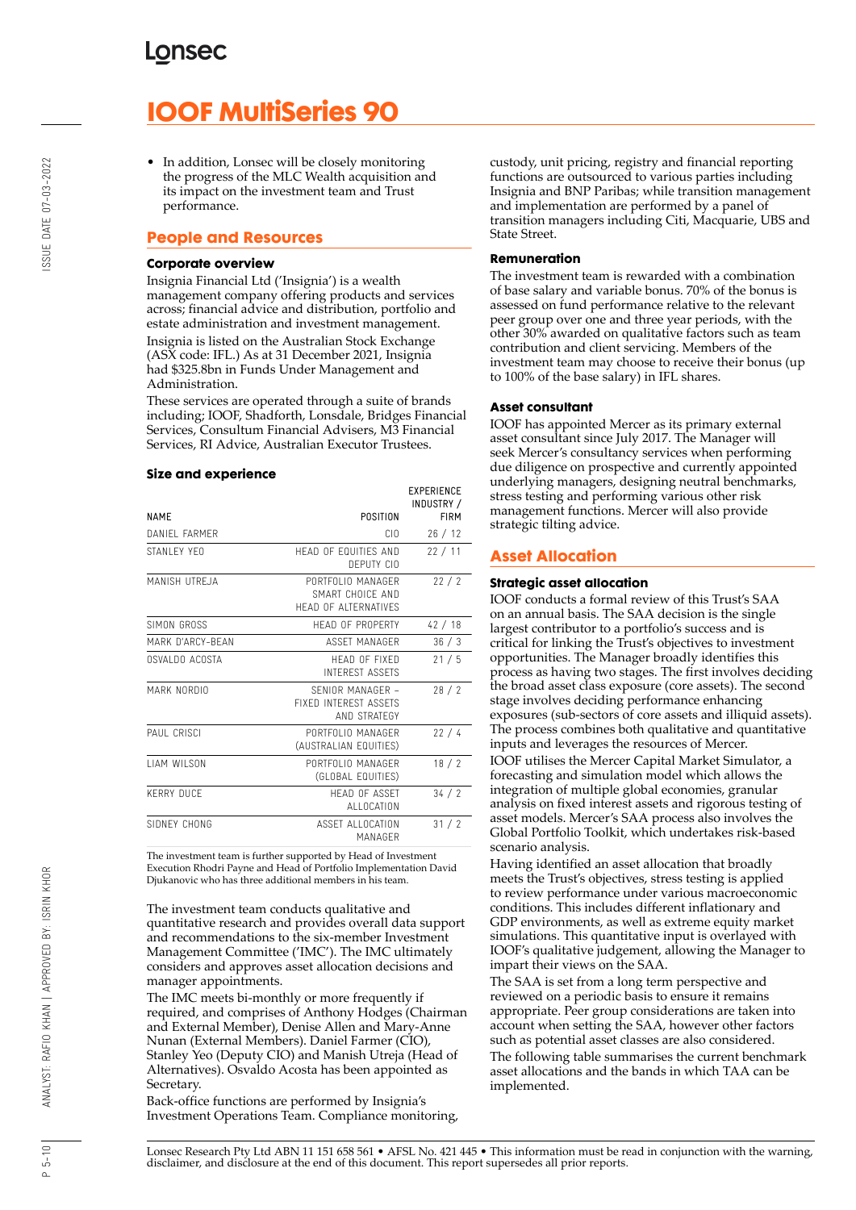# **IOOF MultiSeries 90**

• In addition, Lonsec will be closely monitoring the progress of the MLC Wealth acquisition and its impact on the investment team and Trust performance.

## **People and Resources**

#### **Corporate overview**

Insignia Financial Ltd ('Insignia') is a wealth management company offering products and services across; financial advice and distribution, portfolio and estate administration and investment management. Insignia is listed on the Australian Stock Exchange (ASX code: IFL.) As at 31 December 2021, Insignia had \$325.8bn in Funds Under Management and Administration.

These services are operated through a suite of brands including; IOOF, Shadforth, Lonsdale, Bridges Financial Services, Consultum Financial Advisers, M3 Financial Services, RI Advice, Australian Executor Trustees.

#### **Size and experience**

|                     |                                                                      | <b>EXPERIENCE</b><br>INDUSTRY / |
|---------------------|----------------------------------------------------------------------|---------------------------------|
| <b>NAME</b>         | POSITION                                                             | <b>FIRM</b>                     |
| DANIFI FARMER       | CIO.                                                                 | 26/12                           |
| STANI FY YFO        | HEAD OF FOUITIES AND<br>DEPUTY CIO                                   | 22/11                           |
| MANISH UTREJA       | PORTEOLIO MANAGER<br>SMART CHOICF AND<br><b>HEAD OF ALTERNATIVES</b> | 22/2                            |
| SIMON GROSS         | HEAD OF PROPERTY                                                     | 42/18                           |
| MARK D'ARCY-BFAN    | ASSFT MANAGER                                                        | 36/3                            |
| OSVALDO ACOSTA      | HFAD OF FIXED<br><b>INTEREST ASSETS</b>                              | 21/5                            |
| MARK NORDIO         | SENIOR MANAGER -<br><b>FIXED INTEREST ASSETS</b><br>AND STRATEGY     | 28/2                            |
| PAUL CRISCI         | PORTFOLIO MANAGER<br>(AUSTRALIAN EQUITIES)                           | 22/4                            |
| <b>I IAM WILSON</b> | PORTFOLIO MANAGER<br>(GLOBAL EQUITIES)                               | 18/2                            |
| <b>KERRY DUCF</b>   | <b>HFAD OF ASSFT</b><br>ALLOCATION                                   | 34/2                            |
| SIDNEY CHONG        | ASSET ALLOCATION<br>MANAGFR                                          | 31/2                            |

The investment team is further supported by Head of Investment Execution Rhodri Payne and Head of Portfolio Implementation David Djukanovic who has three additional members in his team.

The investment team conducts qualitative and quantitative research and provides overall data support and recommendations to the six-member Investment Management Committee ('IMC'). The IMC ultimately considers and approves asset allocation decisions and manager appointments.

The IMC meets bi-monthly or more frequently if required, and comprises of Anthony Hodges (Chairman and External Member), Denise Allen and Mary-Anne Nunan (External Members). Daniel Farmer (CIO), Stanley Yeo (Deputy CIO) and Manish Utreja (Head of Alternatives). Osvaldo Acosta has been appointed as Secretary.

Back-office functions are performed by Insignia's Investment Operations Team. Compliance monitoring, custody, unit pricing, registry and financial reporting functions are outsourced to various parties including Insignia and BNP Paribas; while transition management and implementation are performed by a panel of transition managers including Citi, Macquarie, UBS and State Street.

#### **Remuneration**

The investment team is rewarded with a combination of base salary and variable bonus. 70% of the bonus is assessed on fund performance relative to the relevant peer group over one and three year periods, with the other 30% awarded on qualitative factors such as team contribution and client servicing. Members of the investment team may choose to receive their bonus (up to 100% of the base salary) in IFL shares.

#### **Asset consultant**

IOOF has appointed Mercer as its primary external asset consultant since July 2017. The Manager will seek Mercer's consultancy services when performing due diligence on prospective and currently appointed underlying managers, designing neutral benchmarks, stress testing and performing various other risk management functions. Mercer will also provide strategic tilting advice.

## **Asset Allocation**

#### **Strategic asset allocation**

IOOF conducts a formal review of this Trust's SAA on an annual basis. The SAA decision is the single largest contributor to a portfolio's success and is critical for linking the Trust's objectives to investment opportunities. The Manager broadly identifies this process as having two stages. The first involves deciding the broad asset class exposure (core assets). The second stage involves deciding performance enhancing exposures (sub-sectors of core assets and illiquid assets). The process combines both qualitative and quantitative inputs and leverages the resources of Mercer.

IOOF utilises the Mercer Capital Market Simulator, a forecasting and simulation model which allows the integration of multiple global economies, granular analysis on fixed interest assets and rigorous testing of asset models. Mercer's SAA process also involves the Global Portfolio Toolkit, which undertakes risk-based scenario analysis.

Having identified an asset allocation that broadly meets the Trust's objectives, stress testing is applied to review performance under various macroeconomic conditions. This includes different inflationary and GDP environments, as well as extreme equity market simulations. This quantitative input is overlayed with IOOF's qualitative judgement, allowing the Manager to impart their views on the SAA.

The SAA is set from a long term perspective and reviewed on a periodic basis to ensure it remains appropriate. Peer group considerations are taken into account when setting the SAA, however other factors such as potential asset classes are also considered. The following table summarises the current benchmark asset allocations and the bands in which TAA can be implemented.

 $P 5 - 10$ 

ANALYST: RAFIO KHAN | APPROVED BY: ISRIN KHOR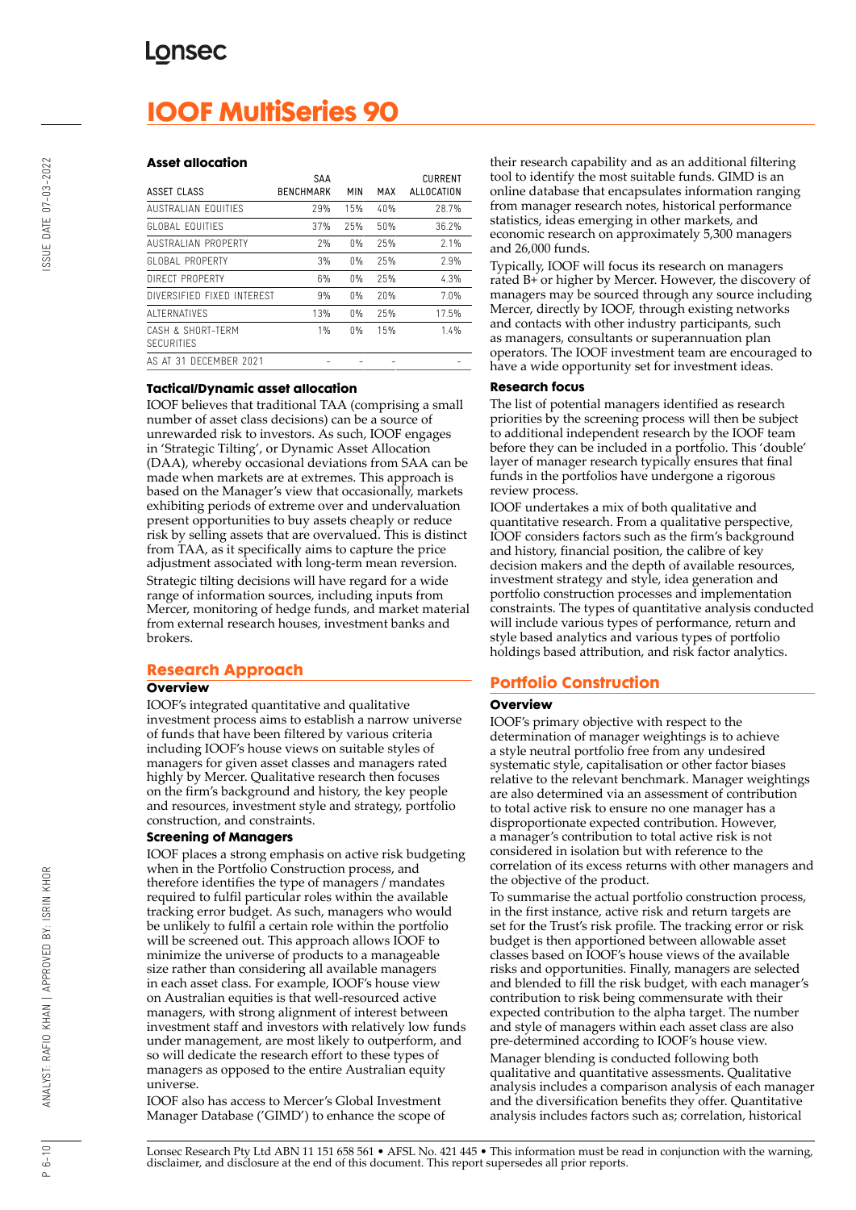# **IOOF MultiSeries 90**

#### **Asset allocation**

| ASSET CLASS                            | SAA<br><b>BENCHMARK</b> | MIN   | MAX | <b>CURRENT</b><br>ALLOCATION |
|----------------------------------------|-------------------------|-------|-----|------------------------------|
| AUSTRALIAN EQUITIFS                    | 29%                     | 15%   | 40% | 28.7%                        |
| GLOBAL FOUITIES                        | 37%                     | 25%   | 50% | 36.2%                        |
| AUSTRALIAN PROPERTY                    | 7%                      | 0%    | 25% | 2.1%                         |
| GLOBAL PROPERTY                        | 3%                      | $0\%$ | 25% | 2.9%                         |
| DIRECT PROPERTY                        | 6%                      | 0%    | 25% | 4.3%                         |
| DIVERSIFIED FIXED INTERFST             | 9%                      | 0%    | 20% | 7.0%                         |
| AI TERNATIVES                          | 13%                     | 0%    | 25% | 17.5%                        |
| CASH & SHORT-TFRM<br><b>SECURITIES</b> | $1\%$                   | 0%    | 15% | 1.4%                         |
| AS AT 31 DECEMBER 2021                 |                         |       |     |                              |

#### **Tactical/Dynamic asset allocation**

IOOF believes that traditional TAA (comprising a small number of asset class decisions) can be a source of unrewarded risk to investors. As such, IOOF engages in 'Strategic Tilting', or Dynamic Asset Allocation (DAA), whereby occasional deviations from SAA can be made when markets are at extremes. This approach is based on the Manager's view that occasionally, markets exhibiting periods of extreme over and undervaluation present opportunities to buy assets cheaply or reduce risk by selling assets that are overvalued. This is distinct from TAA, as it specifically aims to capture the price adjustment associated with long-term mean reversion. Strategic tilting decisions will have regard for a wide range of information sources, including inputs from Mercer, monitoring of hedge funds, and market material from external research houses, investment banks and brokers.

## **Research Approach**

#### **Overview**

IOOF's integrated quantitative and qualitative investment process aims to establish a narrow universe of funds that have been filtered by various criteria including IOOF's house views on suitable styles of managers for given asset classes and managers rated highly by Mercer. Qualitative research then focuses on the firm's background and history, the key people and resources, investment style and strategy, portfolio construction, and constraints.

#### **Screening of Managers**

IOOF places a strong emphasis on active risk budgeting when in the Portfolio Construction process, and therefore identifies the type of managers / mandates required to fulfil particular roles within the available tracking error budget. As such, managers who would be unlikely to fulfil a certain role within the portfolio will be screened out. This approach allows IOOF to minimize the universe of products to a manageable size rather than considering all available managers in each asset class. For example, IOOF's house view on Australian equities is that well-resourced active managers, with strong alignment of interest between investment staff and investors with relatively low funds under management, are most likely to outperform, and so will dedicate the research effort to these types of managers as opposed to the entire Australian equity universe.

IOOF also has access to Mercer's Global Investment Manager Database ('GIMD') to enhance the scope of their research capability and as an additional filtering tool to identify the most suitable funds. GIMD is an online database that encapsulates information ranging from manager research notes, historical performance statistics, ideas emerging in other markets, and economic research on approximately 5,300 managers and 26,000 funds.

Typically, IOOF will focus its research on managers rated B+ or higher by Mercer. However, the discovery of managers may be sourced through any source including Mercer, directly by IOOF, through existing networks and contacts with other industry participants, such as managers, consultants or superannuation plan operators. The IOOF investment team are encouraged to have a wide opportunity set for investment ideas.

#### **Research focus**

The list of potential managers identified as research priorities by the screening process will then be subject to additional independent research by the IOOF team before they can be included in a portfolio. This 'double' layer of manager research typically ensures that final funds in the portfolios have undergone a rigorous review process.

IOOF undertakes a mix of both qualitative and quantitative research. From a qualitative perspective, IOOF considers factors such as the firm's background and history, financial position, the calibre of key decision makers and the depth of available resources, investment strategy and style, idea generation and portfolio construction processes and implementation constraints. The types of quantitative analysis conducted will include various types of performance, return and style based analytics and various types of portfolio holdings based attribution, and risk factor analytics.

## **Portfolio Construction**

#### **Overview**

IOOF's primary objective with respect to the determination of manager weightings is to achieve a style neutral portfolio free from any undesired systematic style, capitalisation or other factor biases relative to the relevant benchmark. Manager weightings are also determined via an assessment of contribution to total active risk to ensure no one manager has a disproportionate expected contribution. However, a manager's contribution to total active risk is not considered in isolation but with reference to the correlation of its excess returns with other managers and the objective of the product.

To summarise the actual portfolio construction process, in the first instance, active risk and return targets are set for the Trust's risk profile. The tracking error or risk budget is then apportioned between allowable asset classes based on IOOF's house views of the available risks and opportunities. Finally, managers are selected and blended to fill the risk budget, with each manager's contribution to risk being commensurate with their expected contribution to the alpha target. The number and style of managers within each asset class are also pre-determined according to IOOF's house view.

Manager blending is conducted following both qualitative and quantitative assessments. Qualitative analysis includes a comparison analysis of each manager and the diversification benefits they offer. Quantitative analysis includes factors such as; correlation, historical

 $P 6 - 10$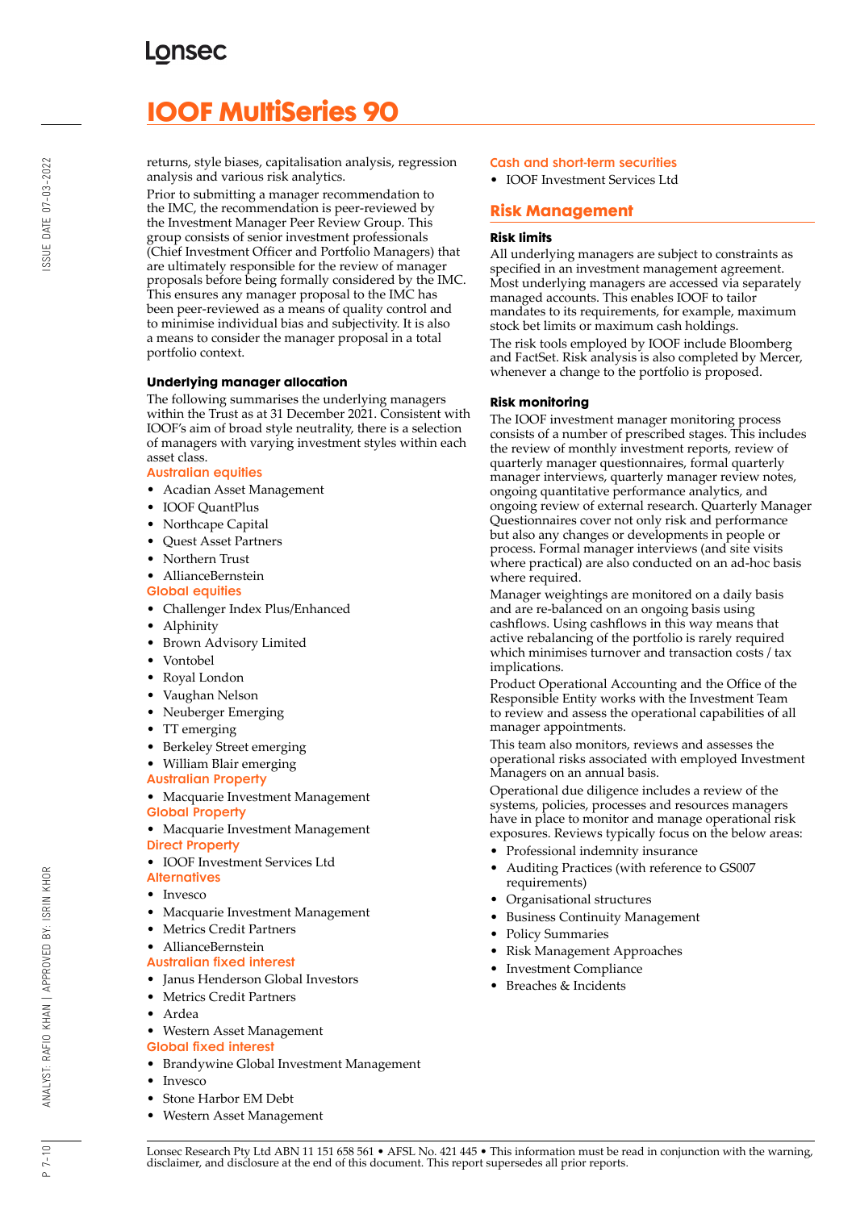# **IOOF MultiSeries 90**

returns, style biases, capitalisation analysis, regression analysis and various risk analytics.

Prior to submitting a manager recommendation to the IMC, the recommendation is peer-reviewed by the Investment Manager Peer Review Group. This group consists of senior investment professionals (Chief Investment Officer and Portfolio Managers) that are ultimately responsible for the review of manager proposals before being formally considered by the IMC. This ensures any manager proposal to the IMC has been peer-reviewed as a means of quality control and to minimise individual bias and subjectivity. It is also a means to consider the manager proposal in a total portfolio context.

## **Underlying manager allocation**

The following summarises the underlying managers within the Trust as at 31 December 2021. Consistent with IOOF's aim of broad style neutrality, there is a selection of managers with varying investment styles within each asset class.

#### Australian equities

- Acadian Asset Management
- IOOF QuantPlus
- Northcape Capital
- Quest Asset Partners
- Northern Trust
- AllianceBernstein
- Global equities
- Challenger Index Plus/Enhanced
- Alphinity
- Brown Advisory Limited
- Vontobel
- Royal London
- Vaughan Nelson
- Neuberger Emerging
- TT emerging
- Berkeley Street emerging
- William Blair emerging
- Australian Property

• Macquarie Investment Management Global Property

- Macquarie Investment Management Direct Property
- IOOF Investment Services Ltd
- **Alternatives**
- **Invesco**
- Macquarie Investment Management
- Metrics Credit Partners
- AllianceBernstein

## Australian fixed interest

- Janus Henderson Global Investors
- Metrics Credit Partners
- Ardea

#### • Western Asset Management Global fixed interest

- Brandywine Global Investment Management
- Invesco
- Stone Harbor EM Debt
- Western Asset Management

## Cash and short-term securities

• IOOF Investment Services Ltd

## **Risk Management**

## **Risk limits**

All underlying managers are subject to constraints as specified in an investment management agreement. Most underlying managers are accessed via separately managed accounts. This enables IOOF to tailor mandates to its requirements, for example, maximum stock bet limits or maximum cash holdings.

The risk tools employed by IOOF include Bloomberg and FactSet. Risk analysis is also completed by Mercer, whenever a change to the portfolio is proposed.

#### **Risk monitoring**

The IOOF investment manager monitoring process consists of a number of prescribed stages. This includes the review of monthly investment reports, review of quarterly manager questionnaires, formal quarterly manager interviews, quarterly manager review notes, ongoing quantitative performance analytics, and ongoing review of external research. Quarterly Manager Questionnaires cover not only risk and performance but also any changes or developments in people or process. Formal manager interviews (and site visits where practical) are also conducted on an ad-hoc basis where required.

Manager weightings are monitored on a daily basis and are re-balanced on an ongoing basis using cashflows. Using cashflows in this way means that active rebalancing of the portfolio is rarely required which minimises turnover and transaction costs / tax implications.

Product Operational Accounting and the Office of the Responsible Entity works with the Investment Team to review and assess the operational capabilities of all manager appointments.

This team also monitors, reviews and assesses the operational risks associated with employed Investment Managers on an annual basis.

Operational due diligence includes a review of the systems, policies, processes and resources managers have in place to monitor and manage operational risk exposures. Reviews typically focus on the below areas:

- Professional indemnity insurance
- Auditing Practices (with reference to GS007 requirements)
- Organisational structures
- Business Continuity Management
- Policy Summaries
- Risk Management Approaches
- Investment Compliance
- Breaches & Incidents

 $P 7 - 10$ 

BY: ISRIN KHOR

ANALYST: RAFIO KHAN | APPROVED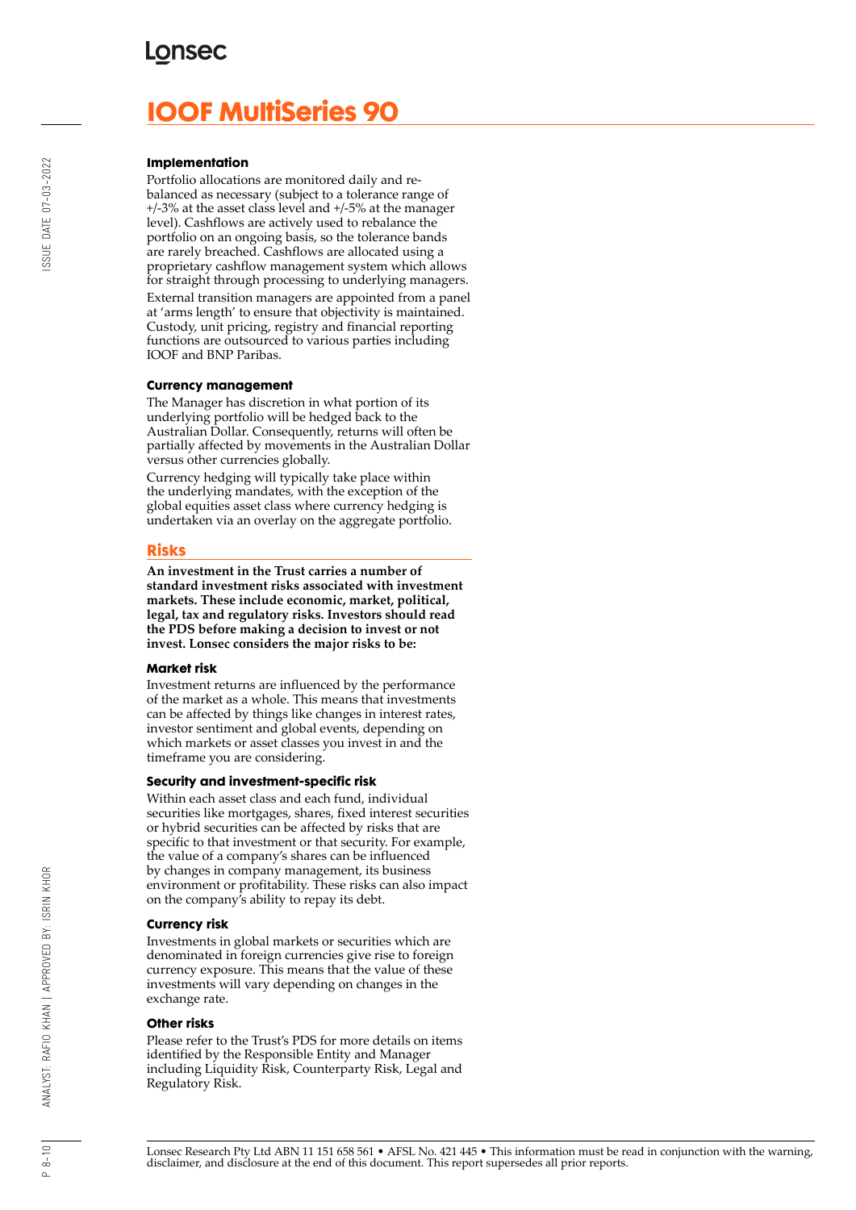# **LONSEC**

# **IOOF MultiSeries 90**

#### **Implementation**

Portfolio allocations are monitored daily and rebalanced as necessary (subject to a tolerance range of +/-3% at the asset class level and +/-5% at the manager level). Cashflows are actively used to rebalance the portfolio on an ongoing basis, so the tolerance bands are rarely breached. Cashflows are allocated using a proprietary cashflow management system which allows for straight through processing to underlying managers. External transition managers are appointed from a panel at 'arms length' to ensure that objectivity is maintained. Custody, unit pricing, registry and financial reporting functions are outsourced to various parties including IOOF and BNP Paribas.

#### **Currency management**

The Manager has discretion in what portion of its underlying portfolio will be hedged back to the Australian Dollar. Consequently, returns will often be partially affected by movements in the Australian Dollar versus other currencies globally.

Currency hedging will typically take place within the underlying mandates, with the exception of the global equities asset class where currency hedging is undertaken via an overlay on the aggregate portfolio.

## **Risks**

**An investment in the Trust carries a number of standard investment risks associated with investment markets. These include economic, market, political, legal, tax and regulatory risks. Investors should read the PDS before making a decision to invest or not invest. Lonsec considers the major risks to be:**

#### **Market risk**

Investment returns are influenced by the performance of the market as a whole. This means that investments can be affected by things like changes in interest rates, investor sentiment and global events, depending on which markets or asset classes you invest in and the timeframe you are considering.

#### **Security and investment-specific risk**

Within each asset class and each fund, individual securities like mortgages, shares, fixed interest securities or hybrid securities can be affected by risks that are specific to that investment or that security. For example, the value of a company's shares can be influenced by changes in company management, its business environment or profitability. These risks can also impact on the company's ability to repay its debt.

#### **Currency risk**

Investments in global markets or securities which are denominated in foreign currencies give rise to foreign currency exposure. This means that the value of these investments will vary depending on changes in the exchange rate.

#### **Other risks**

Please refer to the Trust's PDS for more details on items identified by the Responsible Entity and Manager including Liquidity Risk, Counterparty Risk, Legal and Regulatory Risk.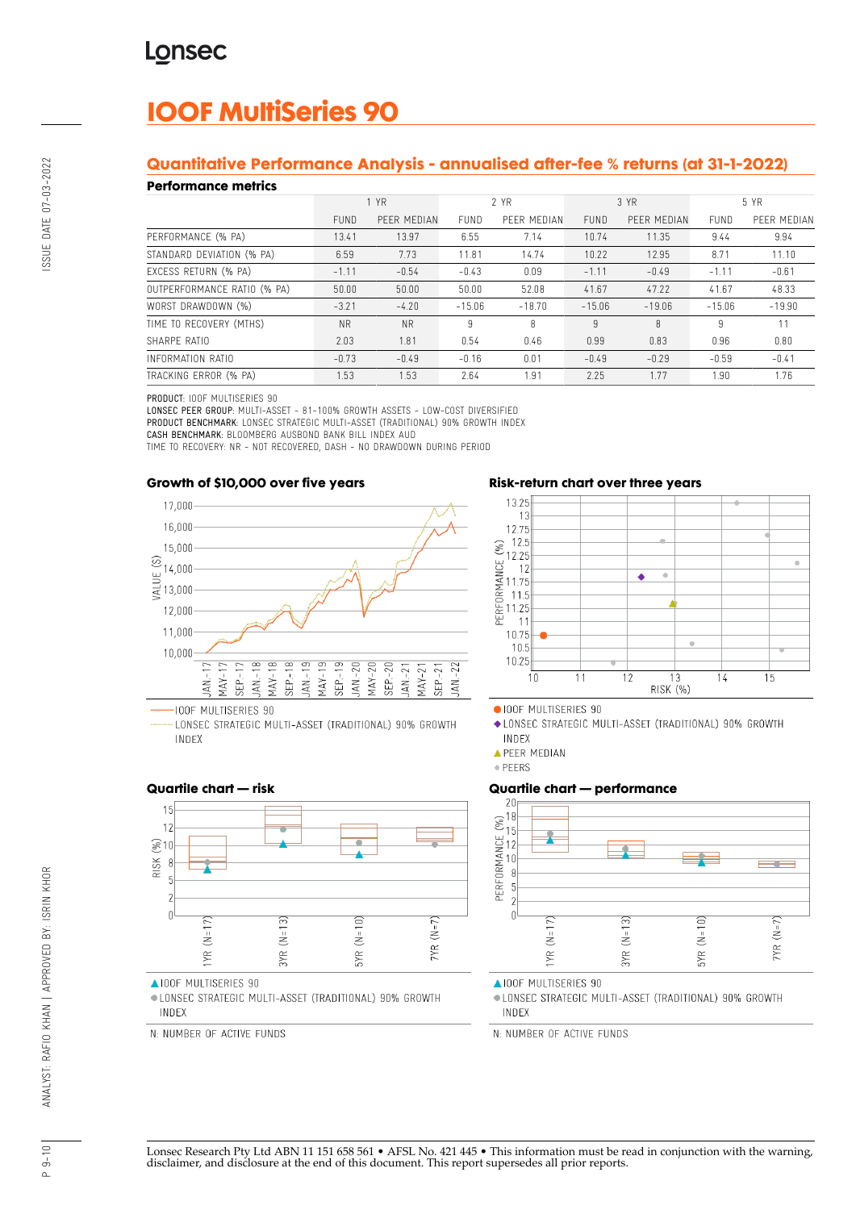# **IOOF MultiSeries 90**

# **Quantitative Performance Analysis - annualised after-fee % returns (at 31-1-2022)**

#### **Performance metrics**

| נטוושוועט ווערוויטוו        |             |             |             |             |             |             |          |             |
|-----------------------------|-------------|-------------|-------------|-------------|-------------|-------------|----------|-------------|
|                             | 1 YR        |             | 2 YR        |             | 3 YR        |             | 5 YR     |             |
|                             | <b>FUND</b> | PEER MEDIAN | <b>FUND</b> | PEER MEDIAN | <b>FUND</b> | PEER MEDIAN | FUND     | PEER MEDIAN |
| PERFORMANCE (% PA)          | 13.41       | 13.97       | 6.55        | 7.14        | 10.74       | 11.35       | 9.44     | 9.94        |
| STANDARD DEVIATION (% PA)   | 6.59        | 7.73        | 11.81       | 14.74       | 10.22       | 12.95       | 8.71     | 11.10       |
| EXCESS RETURN (% PA)        | $-1.11$     | $-0.54$     | $-0.43$     | 0.09        | $-1.11$     | $-0.49$     | $-1.11$  | $-0.61$     |
| OUTPERFORMANCE RATIO (% PA) | 50.00       | 50.00       | 50.00       | 52.08       | 41.67       | 47.22       | 41.67    | 48.33       |
| WORST DRAWDOWN (%)          | $-3.21$     | $-4.20$     | $-15.06$    | $-18.70$    | $-15.06$    | $-19.06$    | $-15.06$ | $-19.90$    |
| TIME TO RECOVERY (MTHS)     | <b>NR</b>   | <b>NR</b>   | 9           | 8           | 9           | 8           | 9        | 11          |
| SHARPE RATIO                | 2.03        | 1.81        | 0.54        | 0.46        | 0.99        | 0.83        | 0.96     | 0.80        |
| INFORMATION RATIO           | $-0.73$     | $-0.49$     | $-0.16$     | 0.01        | $-0.49$     | $-0.29$     | $-0.59$  | $-0.41$     |
| TRACKING ERROR (% PA)       | 1.53        | 1.53        | 2.64        | 1.91        | 2.25        | 1.77        | 1.90     | 1.76        |

PRODUCT: IOOF MULTISERIES 90

LONSEC PEER GROUP: MULTI-ASSET - 81-100% GROWTH ASSETS - LOW-COST DIVERSIFIED PRODUCT BENCHMARK: LONSEC STRATEGIC MULTI-ASSET (TRADITIONAL) 90% GROWTH INDEX CASH BENCHMARK: BLOOMBERG AUSBOND BANK BILL INDEX AUD

TIME TO RECOVERY: NR - NOT RECOVERED, DASH - NO DRAWDOWN DURING PERIOD

## **Growth of \$10,000 over five years**



LONSEC STRATEGIC MULTI-ASSET (TRADITIONAL) 90% GROWTH INDEX





OIOOF MULTISERIES 90

- ◆ LONSEC STRATEGIC MULTI-ASSET (TRADITIONAL) 90% GROWTH INDEX
- **APEER MEDIAN**
- · PEERS

# **Quartile chart — performance**



**AIOOF MULTISERIES 90** 

· LONSEC STRATEGIC MULTI-ASSET (TRADITIONAL) 90% GROWTH INDEX

N: NUMBER OF ACTIVE FUNDS

## **Quartile chart — risk**



▲IOOF MULTISERIES 90

· LONSEC STRATEGIC MULTI-ASSET (TRADITIONAL) 90% GROWTH INDEX

N: NUMBER OF ACTIVE FUNDS

# SSUE DATE 07-03-2022